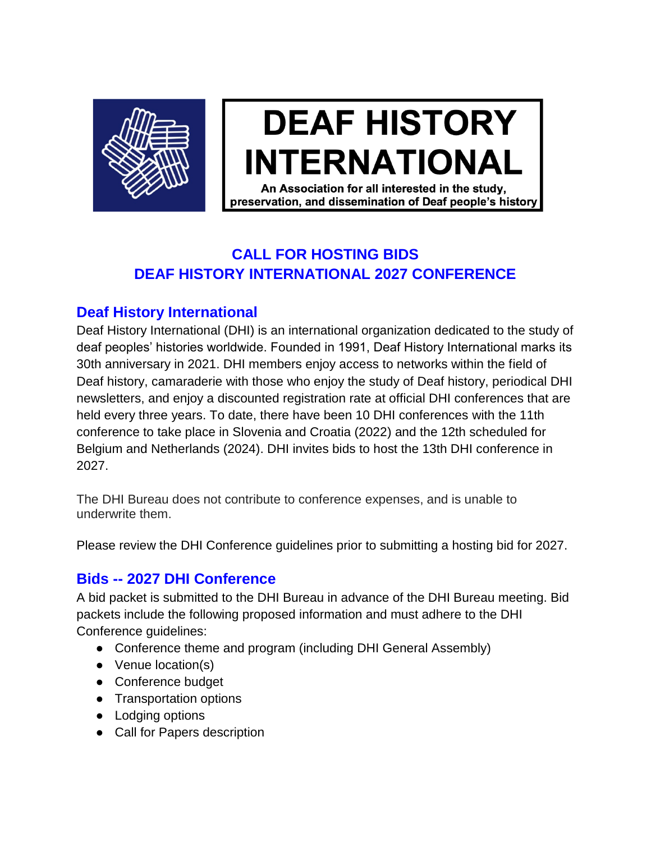

# **DEAF HISTORY INTERNATIONAL**

An Association for all interested in the study. preservation, and dissemination of Deaf people's history

## **CALL FOR HOSTING BIDS DEAF HISTORY INTERNATIONAL 2027 CONFERENCE**

## **Deaf History International**

Deaf History International (DHI) is an international organization dedicated to the study of deaf peoples' histories worldwide. Founded in 1991, Deaf History International marks its 30th anniversary in 2021. DHI members enjoy access to networks within the field of Deaf history, camaraderie with those who enjoy the study of Deaf history, periodical DHI newsletters, and enjoy a discounted registration rate at official DHI conferences that are held every three years. To date, there have been 10 DHI conferences with the 11th conference to take place in Slovenia and Croatia (2022) and the 12th scheduled for Belgium and Netherlands (2024). DHI invites bids to host the 13th DHI conference in 2027.

The DHI Bureau does not contribute to conference expenses, and is unable to underwrite them.

Please review the DHI Conference guidelines prior to submitting a hosting bid for 2027.

## **Bids -- 2027 DHI Conference**

A bid packet is submitted to the DHI Bureau in advance of the DHI Bureau meeting. Bid packets include the following proposed information and must adhere to the DHI Conference guidelines:

- Conference theme and program (including DHI General Assembly)
- Venue location(s)
- Conference budget
- Transportation options
- Lodging options
- Call for Papers description